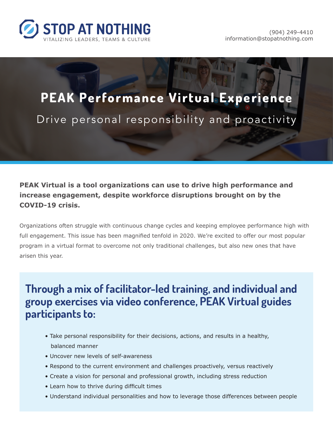

# **PEAK Performance Virtual Experience** Drive personal responsibility and proactivity

#### **PEAK Virtual is a tool organizations can use to drive high performance and increase engagement, despite workforce disruptions brought on by the COVID-19 crisis.**

Organizations often struggle with continuous change cycles and keeping employee performance high with full engagement. This issue has been magnified tenfold in 2020. We're excited to offer our most popular program in a virtual format to overcome not only traditional challenges, but also new ones that have arisen this year.

# **Through a mix of facilitator-led training, and individual and group exercises via video conference, PEAK Virtual guides participants to:**

- Take personal responsibility for their decisions, actions, and results in a healthy, balanced manner
- Uncover new levels of self-awareness
- Respond to the current environment and challenges proactively, versus reactively
- Create a vision for personal and professional growth, including stress reduction
- Learn how to thrive during difficult times
- Understand individual personalities and how to leverage those differences between people